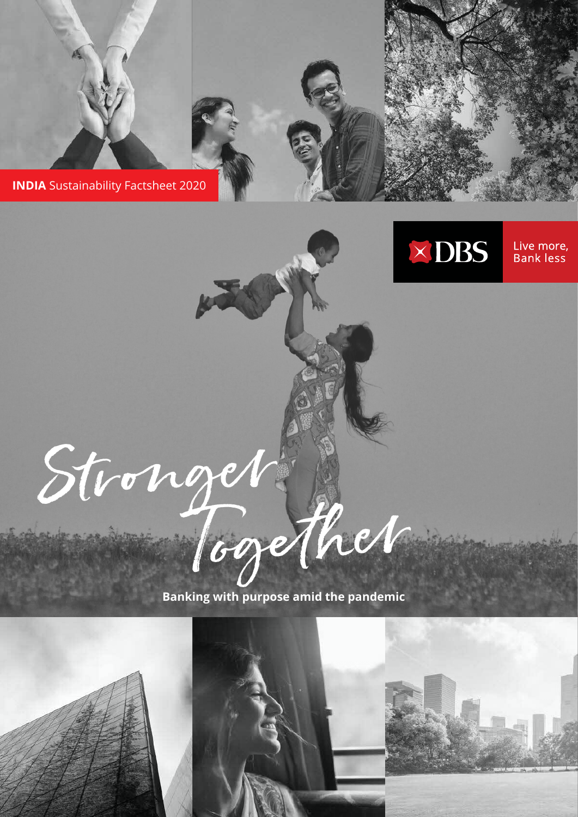





Live more, **Bank less** 



**Banking with purpose amid the pandemic**

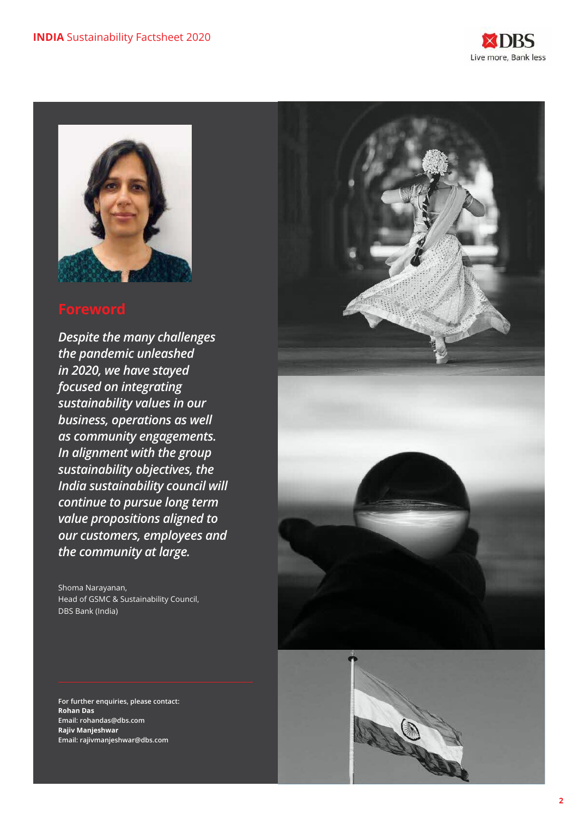



*Despite the many challenges the pandemic unleashed in 2020, we have stayed focused on integrating sustainability values in our business, operations as well as community engagements. In alignment with the group sustainability objectives, the India sustainability council will continue to pursue long term value propositions aligned to our customers, employees and the community at large.* 

Shoma Narayanan, Head of GSMC & Sustainability Council, DBS Bank (India)

**For further enquiries, please contact: Rohan Das Email: rohandas@dbs.com Rajiv Manjeshwar Email: rajivmanjeshwar@dbs.com**



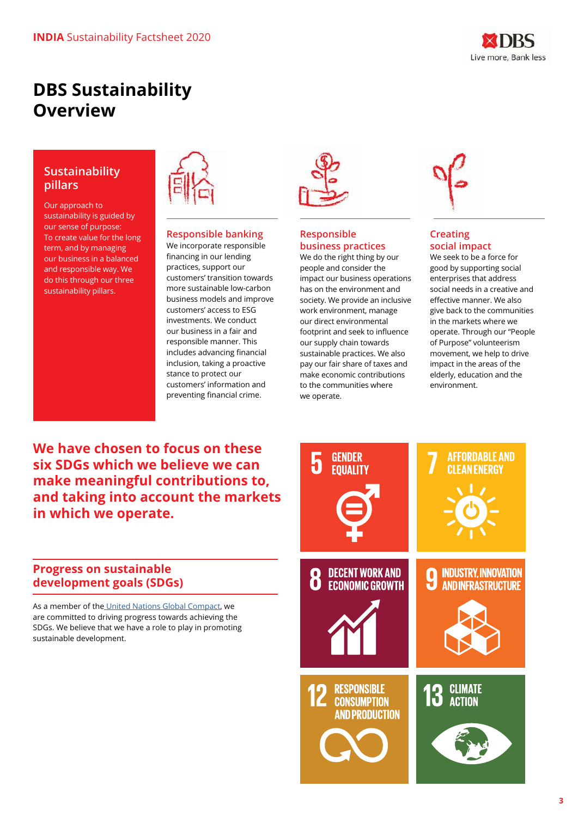

# **DBS Sustainability Overview**

### **Sustainability pillars**

Our approach to sustainability is guided by our sense of purpose: To create value for the long term, and by managing our business in a balanced and responsible way. We do this through our three sustainability pillars.



### **Responsible banking**

We incorporate responsible financing in our lending practices, support our customers' transition towards more sustainable low-carbon business models and improve customers' access to ESG investments. We conduct our business in a fair and responsible manner. This includes advancing financial inclusion, taking a proactive stance to protect our customers' information and preventing financial crime.

### **Responsible business practices**

We do the right thing by our people and consider the impact our business operations has on the environment and society. We provide an inclusive work environment, manage our direct environmental footprint and seek to influence our supply chain towards sustainable practices. We also pay our fair share of taxes and make economic contributions to the communities where we operate.



### **Creating social impact**

We seek to be a force for good by supporting social enterprises that address social needs in a creative and effective manner. We also give back to the communities in the markets where we operate. Through our "People of Purpose" volunteerism movement, we help to drive impact in the areas of the elderly, education and the environment.

**We have chosen to focus on these six SDGs which we believe we can make meaningful contributions to, and taking into account the markets in which we operate.**

### **Progress on sustainable development goals (SDGs)**

As a member of th[e United Nations Global Compact,](https://www.unglobalcompact.org/) we are committed to driving progress towards achieving the SDGs. We believe that we have a role to play in promoting sustainable development.

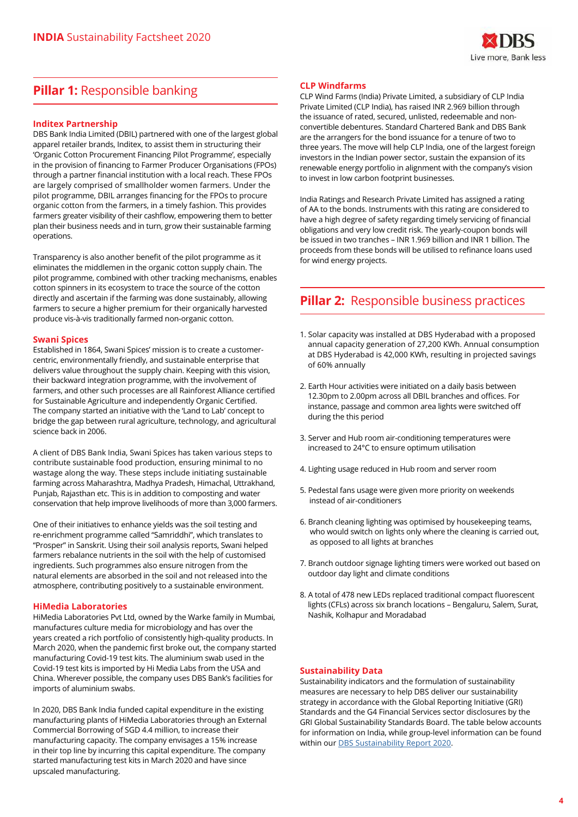

## **Pillar 1: Responsible banking**

#### **Inditex Partnership**

DBS Bank India Limited (DBIL) partnered with one of the largest global apparel retailer brands, Inditex, to assist them in structuring their 'Organic Cotton Procurement Financing Pilot Programme', especially in the provision of financing to Farmer Producer Organisations (FPOs) through a partner financial institution with a local reach. These FPOs are largely comprised of smallholder women farmers. Under the pilot programme, DBIL arranges financing for the FPOs to procure organic cotton from the farmers, in a timely fashion. This provides farmers greater visibility of their cashflow, empowering them to better plan their business needs and in turn, grow their sustainable farming operations.

Transparency is also another benefit of the pilot programme as it eliminates the middlemen in the organic cotton supply chain. The pilot programme, combined with other tracking mechanisms, enables cotton spinners in its ecosystem to trace the source of the cotton directly and ascertain if the farming was done sustainably, allowing farmers to secure a higher premium for their organically harvested produce vis-à-vis traditionally farmed non-organic cotton.

#### **Swani Spices**

Established in 1864, Swani Spices' mission is to create a customercentric, environmentally friendly, and sustainable enterprise that delivers value throughout the supply chain. Keeping with this vision, their backward integration programme, with the involvement of farmers, and other such processes are all Rainforest Alliance certified for Sustainable Agriculture and independently Organic Certified. The company started an initiative with the 'Land to Lab' concept to bridge the gap between rural agriculture, technology, and agricultural science back in 2006.

A client of DBS Bank India, Swani Spices has taken various steps to contribute sustainable food production, ensuring minimal to no wastage along the way. These steps include initiating sustainable farming across Maharashtra, Madhya Pradesh, Himachal, Uttrakhand, Punjab, Rajasthan etc. This is in addition to composting and water conservation that help improve livelihoods of more than 3,000 farmers.

One of their initiatives to enhance yields was the soil testing and re-enrichment programme called "Samriddhi", which translates to "Prosper" in Sanskrit. Using their soil analysis reports, Swani helped farmers rebalance nutrients in the soil with the help of customised ingredients. Such programmes also ensure nitrogen from the natural elements are absorbed in the soil and not released into the atmosphere, contributing positively to a sustainable environment.

#### **HiMedia Laboratories**

HiMedia Laboratories Pvt Ltd, owned by the Warke family in Mumbai, manufactures culture media for microbiology and has over the years created a rich portfolio of consistently high-quality products. In March 2020, when the pandemic first broke out, the company started manufacturing Covid-19 test kits. The aluminium swab used in the Covid-19 test kits is imported by Hi Media Labs from the USA and China. Wherever possible, the company uses DBS Bank's facilities for imports of aluminium swabs.

In 2020, DBS Bank India funded capital expenditure in the existing manufacturing plants of HiMedia Laboratories through an External Commercial Borrowing of SGD 4.4 million, to increase their manufacturing capacity. The company envisages a 15% increase in their top line by incurring this capital expenditure. The company started manufacturing test kits in March 2020 and have since upscaled manufacturing.

#### **CLP Windfarms**

CLP Wind Farms (India) Private Limited, a subsidiary of CLP India Private Limited (CLP India), has raised INR 2.969 billion through the issuance of rated, secured, unlisted, redeemable and nonconvertible debentures. Standard Chartered Bank and DBS Bank are the arrangers for the bond issuance for a tenure of two to three years. The move will help CLP India, one of the largest foreign investors in the Indian power sector, sustain the expansion of its renewable energy portfolio in alignment with the company's vision to invest in low carbon footprint businesses.

India Ratings and Research Private Limited has assigned a rating of AA to the bonds. Instruments with this rating are considered to have a high degree of safety regarding timely servicing of financial obligations and very low credit risk. The yearly-coupon bonds will be issued in two tranches – INR 1.969 billion and INR 1 billion. The proceeds from these bonds will be utilised to refinance loans used for wind energy projects.

### **Pillar 2:** Responsible business practices

- 1. Solar capacity was installed at DBS Hyderabad with a proposed annual capacity generation of 27,200 KWh. Annual consumption at DBS Hyderabad is 42,000 KWh, resulting in projected savings of 60% annually
- 2. Earth Hour activities were initiated on a daily basis between 12.30pm to 2.00pm across all DBIL branches and offices. For instance, passage and common area lights were switched off during the this period
- 3. Server and Hub room air-conditioning temperatures were increased to 24°C to ensure optimum utilisation
- 4. Lighting usage reduced in Hub room and server room
- 5. Pedestal fans usage were given more priority on weekends instead of air-conditioners
- 6. Branch cleaning lighting was optimised by housekeeping teams, who would switch on lights only where the cleaning is carried out, as opposed to all lights at branches
- 7. Branch outdoor signage lighting timers were worked out based on outdoor day light and climate conditions
- 8. A total of 478 new LEDs replaced traditional compact fluorescent lights (CFLs) across six branch locations – Bengaluru, Salem, Surat, Nashik, Kolhapur and Moradabad

#### **Sustainability Data**

Sustainability indicators and the formulation of sustainability measures are necessary to help DBS deliver our sustainability strategy in accordance with the Global Reporting Initiative (GRI) Standards and the G4 Financial Services sector disclosures by the GRI Global Sustainability Standards Board. The table below accounts for information on India, while group-level information can be found within our **DBS** Sustainability Report 2020.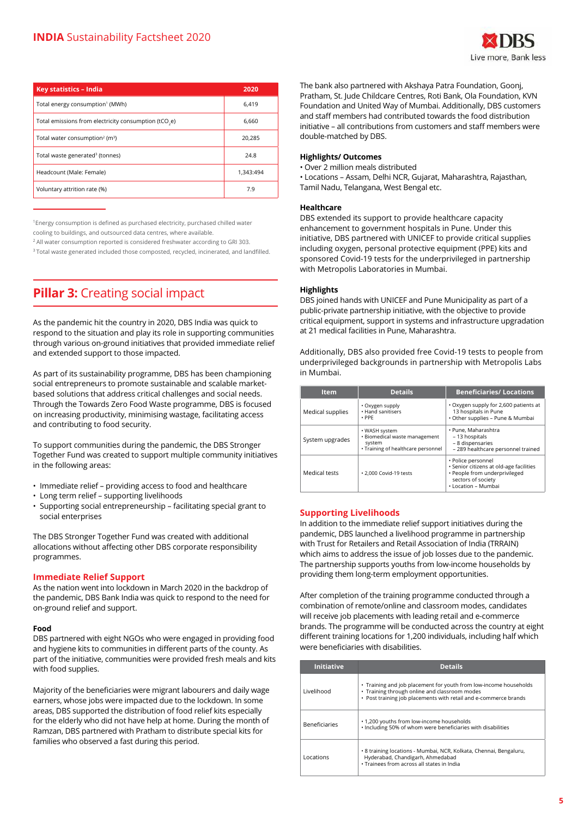| Key statistics - India                                            | 2020      |
|-------------------------------------------------------------------|-----------|
| Total energy consumption <sup>1</sup> (MWh)                       | 6.419     |
| Total emissions from electricity consumption (tCO <sub>3</sub> e) | 6.660     |
| Total water consumption <sup>2</sup> (m <sup>3</sup> )            | 20.285    |
| Total waste generated <sup>3</sup> (tonnes)                       | 24.8      |
| Headcount (Male: Female)                                          | 1.343:494 |
| Voluntary attrition rate (%)                                      | 7.9       |

<sup>1</sup>Energy consumption is defined as purchased electricity, purchased chilled water cooling to buildings, and outsourced data centres, where available.

<sup>2</sup> All water consumption reported is considered freshwater according to GRI 303.

<sup>3</sup> Total waste generated included those composted, recycled, incinerated, and landfilled.

# **Pillar 3: Creating social impact**

As the pandemic hit the country in 2020, DBS India was quick to respond to the situation and play its role in supporting communities through various on-ground initiatives that provided immediate relief and extended support to those impacted.

As part of its sustainability programme, DBS has been championing social entrepreneurs to promote sustainable and scalable marketbased solutions that address critical challenges and social needs. Through the Towards Zero Food Waste programme, DBS is focused on increasing productivity, minimising wastage, facilitating access and contributing to food security.

To support communities during the pandemic, the DBS Stronger Together Fund was created to support multiple community initiatives in the following areas:

- Immediate relief providing access to food and healthcare
- Long term relief supporting livelihoods
- Supporting social entrepreneurship facilitating special grant to social enterprises

The DBS Stronger Together Fund was created with additional allocations without affecting other DBS corporate responsibility programmes.

### **Immediate Relief Support**

As the nation went into lockdown in March 2020 in the backdrop of the pandemic, DBS Bank India was quick to respond to the need for on-ground relief and support.

#### **Food**

DBS partnered with eight NGOs who were engaged in providing food and hygiene kits to communities in different parts of the county. As part of the initiative, communities were provided fresh meals and kits with food supplies.

Majority of the beneficiaries were migrant labourers and daily wage earners, whose jobs were impacted due to the lockdown. In some areas, DBS supported the distribution of food relief kits especially for the elderly who did not have help at home. During the month of Ramzan, DBS partnered with Pratham to distribute special kits for families who observed a fast during this period.

The bank also partnered with Akshaya Patra Foundation, Goonj, Pratham, St. Jude Childcare Centres, Roti Bank, Ola Foundation, KVN Foundation and United Way of Mumbai. Additionally, DBS customers and staff members had contributed towards the food distribution initiative – all contributions from customers and staff members were double-matched by DBS.

#### **Highlights/ Outcomes**

• Over 2 million meals distributed

• Locations – Assam, Delhi NCR, Gujarat, Maharashtra, Rajasthan, Tamil Nadu, Telangana, West Bengal etc.

#### **Healthcare**

DBS extended its support to provide healthcare capacity enhancement to government hospitals in Pune. Under this initiative, DBS partnered with UNICEF to provide critical supplies including oxygen, personal protective equipment (PPE) kits and sponsored Covid-19 tests for the underprivileged in partnership with Metropolis Laboratories in Mumbai.

#### **Highlights**

DBS joined hands with UNICEF and Pune Municipality as part of a public-private partnership initiative, with the objective to provide critical equipment, support in systems and infrastructure upgradation at 21 medical facilities in Pune, Maharashtra.

Additionally, DBS also provided free Covid-19 tests to people from underprivileged backgrounds in partnership with Metropolis Labs in Mumbai.

| <b>Item</b>      | <b>Details</b>                                                                                 | <b>Beneficiaries/Locations</b>                                                                                                              |
|------------------|------------------------------------------------------------------------------------------------|---------------------------------------------------------------------------------------------------------------------------------------------|
| Medical supplies | • Oxygen supply<br>. Hand sanitisers<br>$\cdot$ PPF                                            | • Oxygen supply for 2,600 patients at<br>13 hospitals in Pune<br>· Other supplies - Pune & Mumbai                                           |
| System upgrades  | • WASH system<br>· Biomedical waste management<br>system<br>· Training of healthcare personnel | • Pune, Maharashtra<br>- 13 hospitals<br>- 8 dispensaries<br>- 289 healthcare personnel trained                                             |
| Medical tests    | . 2.000 Covid-19 tests                                                                         | • Police personnel<br>· Senior citizens at old-age facilities<br>· People from underprivileged<br>sectors of society<br>• Location – Mumbai |

#### **Supporting Livelihoods**

In addition to the immediate relief support initiatives during the pandemic, DBS launched a livelihood programme in partnership with Trust for Retailers and Retail Association of India (TRRAIN) which aims to address the issue of job losses due to the pandemic. The partnership supports youths from low-income households by providing them long-term employment opportunities.

After completion of the training programme conducted through a combination of remote/online and classroom modes, candidates will receive job placements with leading retail and e-commerce brands. The programme will be conducted across the country at eight different training locations for 1,200 individuals, including half which were beneficiaries with disabilities.

| <b>Initiative</b>    | <b>Details</b>                                                                                                                                                                         |
|----------------------|----------------------------------------------------------------------------------------------------------------------------------------------------------------------------------------|
| Livelihood           | • Training and job placement for youth from low-income households<br>• Training through online and classroom modes<br>• Post training job placements with retail and e-commerce brands |
| <b>Beneficiaries</b> | .1,200 youths from low-income households<br>· Including 50% of whom were beneficiaries with disabilities                                                                               |
| Locations            | • 8 training locations - Mumbai, NCR, Kolkata, Chennai, Bengaluru,<br>Hyderabad, Chandigarh, Ahmedabad<br>· Trainees from across all states in India                                   |